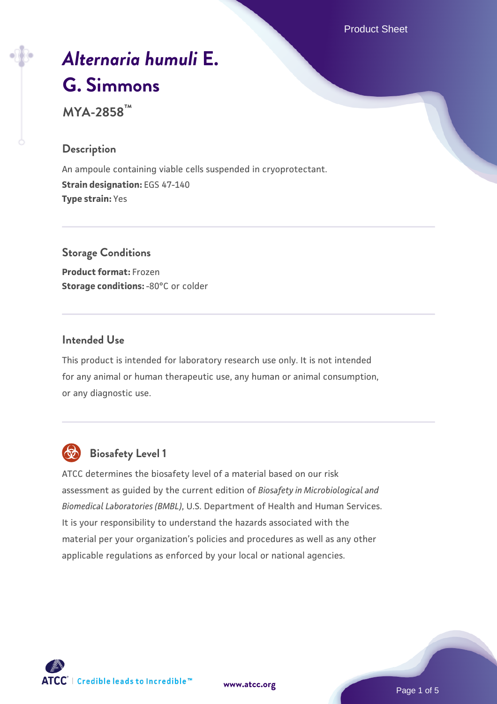Product Sheet

# *[Alternaria humuli](https://www.atcc.org/products/mya-2858)* **[E.](https://www.atcc.org/products/mya-2858) [G. Simmons](https://www.atcc.org/products/mya-2858)**

**MYA-2858™**

## **Description**

An ampoule containing viable cells suspended in cryoprotectant. **Strain designation:** EGS 47-140 **Type strain:** Yes

**Storage Conditions Product format:** Frozen **Storage conditions: -80°C or colder** 

### **Intended Use**

This product is intended for laboratory research use only. It is not intended for any animal or human therapeutic use, any human or animal consumption, or any diagnostic use.



# **Biosafety Level 1**

ATCC determines the biosafety level of a material based on our risk assessment as guided by the current edition of *Biosafety in Microbiological and Biomedical Laboratories (BMBL)*, U.S. Department of Health and Human Services. It is your responsibility to understand the hazards associated with the material per your organization's policies and procedures as well as any other applicable regulations as enforced by your local or national agencies.



**[www.atcc.org](http://www.atcc.org)**

Page 1 of 5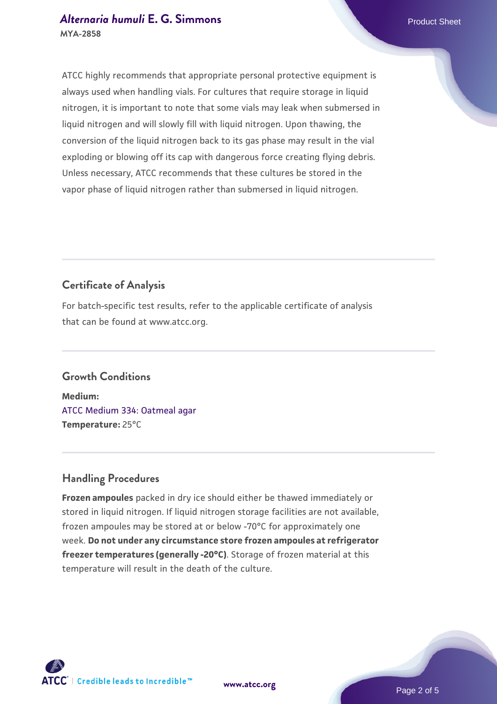#### *[Alternaria humuli](https://www.atcc.org/products/mya-2858)* **[E. G. Simmons](https://www.atcc.org/products/mya-2858) Product Sheet MYA-2858**

ATCC highly recommends that appropriate personal protective equipment is always used when handling vials. For cultures that require storage in liquid nitrogen, it is important to note that some vials may leak when submersed in liquid nitrogen and will slowly fill with liquid nitrogen. Upon thawing, the conversion of the liquid nitrogen back to its gas phase may result in the vial exploding or blowing off its cap with dangerous force creating flying debris. Unless necessary, ATCC recommends that these cultures be stored in the vapor phase of liquid nitrogen rather than submersed in liquid nitrogen.

# **Certificate of Analysis**

For batch-specific test results, refer to the applicable certificate of analysis that can be found at www.atcc.org.

# **Growth Conditions**

**Medium:**  [ATCC Medium 334: Oatmeal agar](https://www.atcc.org/-/media/product-assets/documents/microbial-media-formulations/3/3/4/atcc-medium-334.pdf?rev=e382a75a48794764902dd7457c97fc29) **Temperature:** 25°C

# **Handling Procedures**

**Frozen ampoules** packed in dry ice should either be thawed immediately or stored in liquid nitrogen. If liquid nitrogen storage facilities are not available, frozen ampoules may be stored at or below -70°C for approximately one week. **Do not under any circumstance store frozen ampoules at refrigerator freezer temperatures (generally -20°C)**. Storage of frozen material at this temperature will result in the death of the culture.

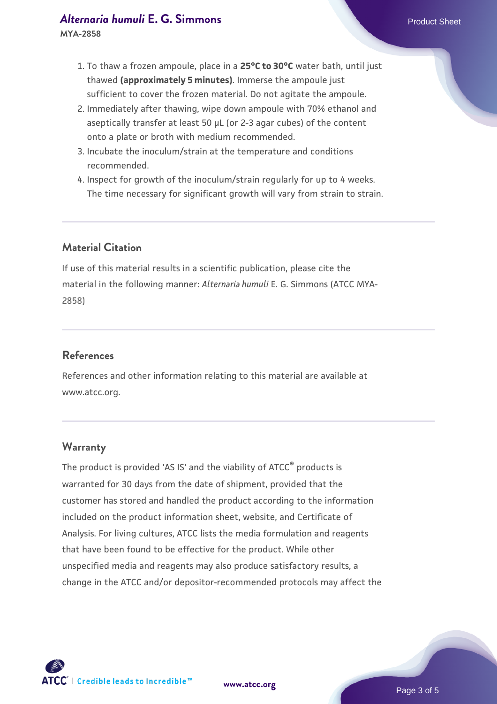#### *[Alternaria humuli](https://www.atcc.org/products/mya-2858)* **[E. G. Simmons](https://www.atcc.org/products/mya-2858) Product Sheet**

**MYA-2858**

- 1. To thaw a frozen ampoule, place in a **25°C to 30°C** water bath, until just thawed **(approximately 5 minutes)**. Immerse the ampoule just sufficient to cover the frozen material. Do not agitate the ampoule.
- 2. Immediately after thawing, wipe down ampoule with 70% ethanol and aseptically transfer at least 50 µL (or 2-3 agar cubes) of the content onto a plate or broth with medium recommended.
- 3. Incubate the inoculum/strain at the temperature and conditions recommended.
- 4. Inspect for growth of the inoculum/strain regularly for up to 4 weeks. The time necessary for significant growth will vary from strain to strain.

# **Material Citation**

If use of this material results in a scientific publication, please cite the material in the following manner: *Alternaria humuli* E. G. Simmons (ATCC MYA-2858)

## **References**

References and other information relating to this material are available at www.atcc.org.

#### **Warranty**

The product is provided 'AS IS' and the viability of ATCC<sup>®</sup> products is warranted for 30 days from the date of shipment, provided that the customer has stored and handled the product according to the information included on the product information sheet, website, and Certificate of Analysis. For living cultures, ATCC lists the media formulation and reagents that have been found to be effective for the product. While other unspecified media and reagents may also produce satisfactory results, a change in the ATCC and/or depositor-recommended protocols may affect the

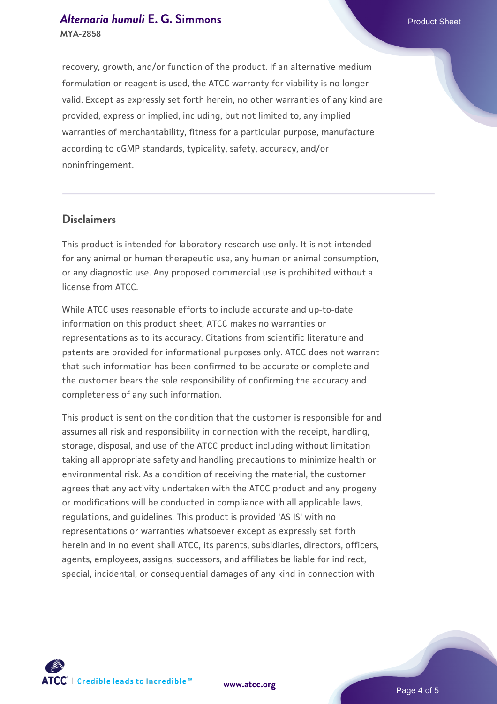#### *[Alternaria humuli](https://www.atcc.org/products/mya-2858)* **[E. G. Simmons](https://www.atcc.org/products/mya-2858) Product Sheet MYA-2858**

recovery, growth, and/or function of the product. If an alternative medium formulation or reagent is used, the ATCC warranty for viability is no longer valid. Except as expressly set forth herein, no other warranties of any kind are provided, express or implied, including, but not limited to, any implied warranties of merchantability, fitness for a particular purpose, manufacture according to cGMP standards, typicality, safety, accuracy, and/or noninfringement.

#### **Disclaimers**

This product is intended for laboratory research use only. It is not intended for any animal or human therapeutic use, any human or animal consumption, or any diagnostic use. Any proposed commercial use is prohibited without a license from ATCC.

While ATCC uses reasonable efforts to include accurate and up-to-date information on this product sheet, ATCC makes no warranties or representations as to its accuracy. Citations from scientific literature and patents are provided for informational purposes only. ATCC does not warrant that such information has been confirmed to be accurate or complete and the customer bears the sole responsibility of confirming the accuracy and completeness of any such information.

This product is sent on the condition that the customer is responsible for and assumes all risk and responsibility in connection with the receipt, handling, storage, disposal, and use of the ATCC product including without limitation taking all appropriate safety and handling precautions to minimize health or environmental risk. As a condition of receiving the material, the customer agrees that any activity undertaken with the ATCC product and any progeny or modifications will be conducted in compliance with all applicable laws, regulations, and guidelines. This product is provided 'AS IS' with no representations or warranties whatsoever except as expressly set forth herein and in no event shall ATCC, its parents, subsidiaries, directors, officers, agents, employees, assigns, successors, and affiliates be liable for indirect, special, incidental, or consequential damages of any kind in connection with